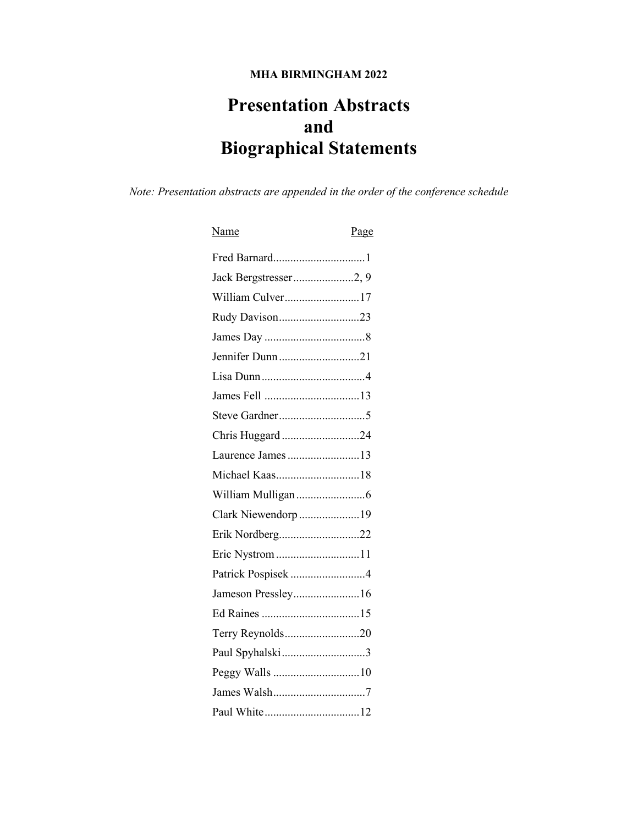## **MHA BIRMINGHAM 2022**

# **Presentation Abstracts and Biographical Statements**

*Note: Presentation abstracts are appended in the order of the conference schedule*

| <b>Name</b>           | <u>Page</u> |
|-----------------------|-------------|
|                       |             |
| Jack Bergstresser2, 9 |             |
| William Culver17      |             |
| Rudy Davison23        |             |
|                       |             |
| Jennifer Dunn21       |             |
|                       |             |
|                       |             |
|                       |             |
| Chris Huggard24       |             |
| Laurence James 13     |             |
| Michael Kaas18        |             |
|                       |             |
| Clark Niewendorp 19   |             |
| Erik Nordberg22       |             |
| Eric Nystrom 11       |             |
| Patrick Pospisek4     |             |
| Jameson Pressley16    |             |
|                       |             |
| Terry Reynolds20      |             |
| Paul Spyhalski3       |             |
| Peggy Walls 10        |             |
|                       |             |
| Paul White12          |             |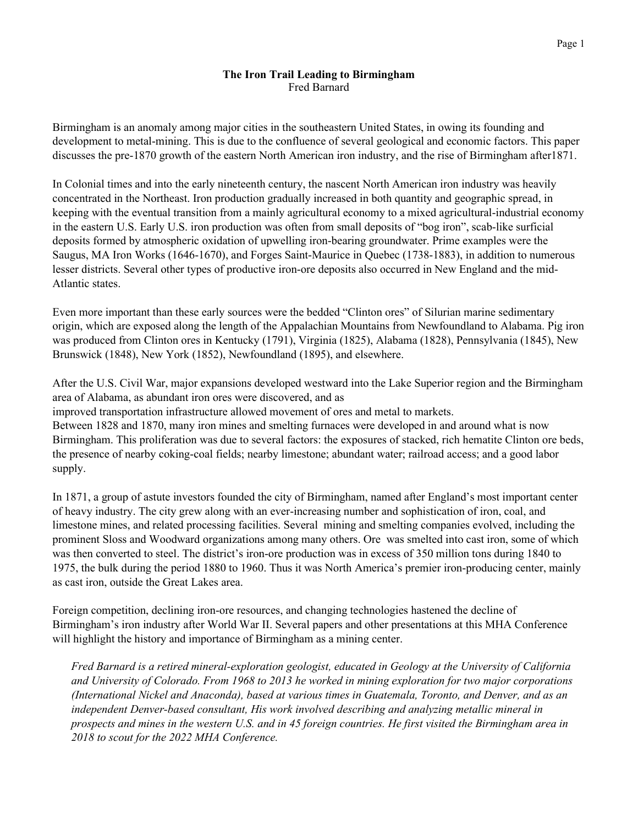## **The Iron Trail Leading to Birmingham** Fred Barnard

Birmingham is an anomaly among major cities in the southeastern United States, in owing its founding and development to metal-mining. This is due to the confluence of several geological and economic factors. This paper discusses the pre-1870 growth of the eastern North American iron industry, and the rise of Birmingham after1871.

In Colonial times and into the early nineteenth century, the nascent North American iron industry was heavily concentrated in the Northeast. Iron production gradually increased in both quantity and geographic spread, in keeping with the eventual transition from a mainly agricultural economy to a mixed agricultural-industrial economy in the eastern U.S. Early U.S. iron production was often from small deposits of "bog iron", scab-like surficial deposits formed by atmospheric oxidation of upwelling iron-bearing groundwater. Prime examples were the Saugus, MA Iron Works (1646-1670), and Forges Saint-Maurice in Quebec (1738-1883), in addition to numerous lesser districts. Several other types of productive iron-ore deposits also occurred in New England and the mid-Atlantic states.

Even more important than these early sources were the bedded "Clinton ores" of Silurian marine sedimentary origin, which are exposed along the length of the Appalachian Mountains from Newfoundland to Alabama. Pig iron was produced from Clinton ores in Kentucky (1791), Virginia (1825), Alabama (1828), Pennsylvania (1845), New Brunswick (1848), New York (1852), Newfoundland (1895), and elsewhere.

After the U.S. Civil War, major expansions developed westward into the Lake Superior region and the Birmingham area of Alabama, as abundant iron ores were discovered, and as

improved transportation infrastructure allowed movement of ores and metal to markets.

Between 1828 and 1870, many iron mines and smelting furnaces were developed in and around what is now Birmingham. This proliferation was due to several factors: the exposures of stacked, rich hematite Clinton ore beds, the presence of nearby coking-coal fields; nearby limestone; abundant water; railroad access; and a good labor supply.

In 1871, a group of astute investors founded the city of Birmingham, named after England's most important center of heavy industry. The city grew along with an ever-increasing number and sophistication of iron, coal, and limestone mines, and related processing facilities. Several mining and smelting companies evolved, including the prominent Sloss and Woodward organizations among many others. Ore was smelted into cast iron, some of which was then converted to steel. The district's iron-ore production was in excess of 350 million tons during 1840 to 1975, the bulk during the period 1880 to 1960. Thus it was North America's premier iron-producing center, mainly as cast iron, outside the Great Lakes area.

Foreign competition, declining iron-ore resources, and changing technologies hastened the decline of Birmingham's iron industry after World War II. Several papers and other presentations at this MHA Conference will highlight the history and importance of Birmingham as a mining center.

*Fred Barnard is a retired mineral-exploration geologist, educated in Geology at the University of California and University of Colorado. From 1968 to 2013 he worked in mining exploration for two major corporations (International Nickel and Anaconda), based at various times in Guatemala, Toronto, and Denver, and as an independent Denver-based consultant, His work involved describing and analyzing metallic mineral in prospects and mines in the western U.S. and in 45 foreign countries. He first visited the Birmingham area in 2018 to scout for the 2022 MHA Conference.*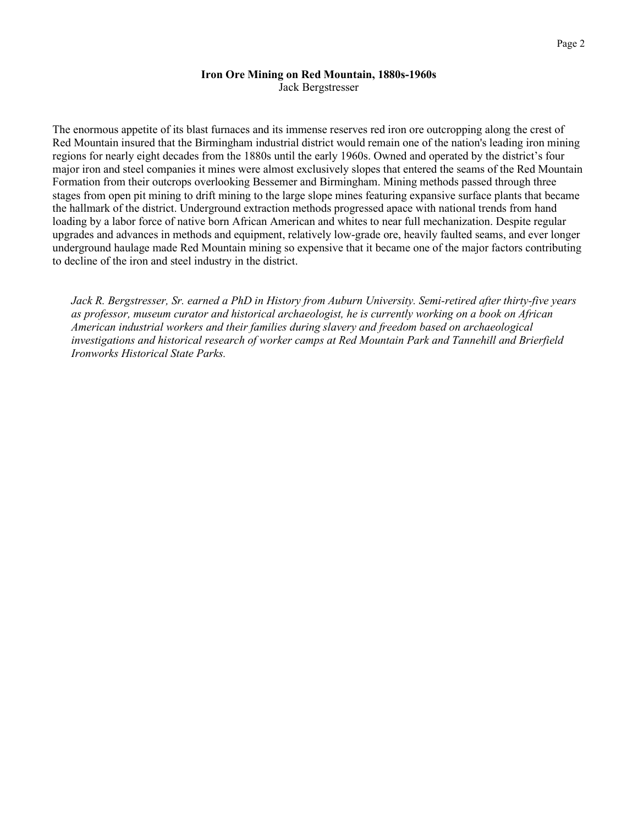#### **Iron Ore Mining on Red Mountain, 1880s-1960s** Jack Bergstresser

The enormous appetite of its blast furnaces and its immense reserves red iron ore outcropping along the crest of Red Mountain insured that the Birmingham industrial district would remain one of the nation's leading iron mining regions for nearly eight decades from the 1880s until the early 1960s. Owned and operated by the district's four major iron and steel companies it mines were almost exclusively slopes that entered the seams of the Red Mountain Formation from their outcrops overlooking Bessemer and Birmingham. Mining methods passed through three stages from open pit mining to drift mining to the large slope mines featuring expansive surface plants that became the hallmark of the district. Underground extraction methods progressed apace with national trends from hand loading by a labor force of native born African American and whites to near full mechanization. Despite regular upgrades and advances in methods and equipment, relatively low-grade ore, heavily faulted seams, and ever longer underground haulage made Red Mountain mining so expensive that it became one of the major factors contributing to decline of the iron and steel industry in the district.

*Jack R. Bergstresser, Sr. earned a PhD in History from Auburn University. Semi-retired after thirty-five years as professor, museum curator and historical archaeologist, he is currently working on a book on African American industrial workers and their families during slavery and freedom based on archaeological investigations and historical research of worker camps at Red Mountain Park and Tannehill and Brierfield Ironworks Historical State Parks.*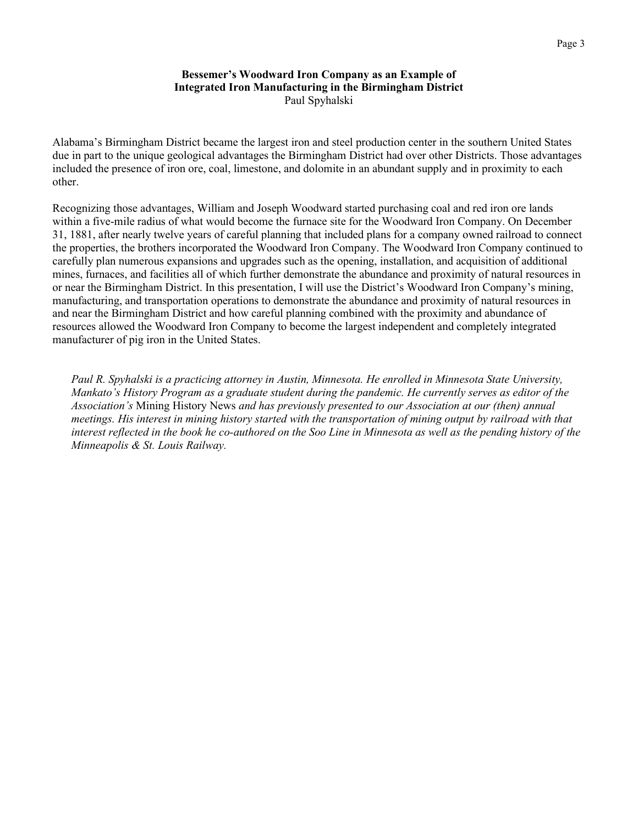# **Bessemer's Woodward Iron Company as an Example of Integrated Iron Manufacturing in the Birmingham District**  Paul Spyhalski

Alabama's Birmingham District became the largest iron and steel production center in the southern United States due in part to the unique geological advantages the Birmingham District had over other Districts. Those advantages included the presence of iron ore, coal, limestone, and dolomite in an abundant supply and in proximity to each other.

Recognizing those advantages, William and Joseph Woodward started purchasing coal and red iron ore lands within a five-mile radius of what would become the furnace site for the Woodward Iron Company. On December 31, 1881, after nearly twelve years of careful planning that included plans for a company owned railroad to connect the properties, the brothers incorporated the Woodward Iron Company. The Woodward Iron Company continued to carefully plan numerous expansions and upgrades such as the opening, installation, and acquisition of additional mines, furnaces, and facilities all of which further demonstrate the abundance and proximity of natural resources in or near the Birmingham District. In this presentation, I will use the District's Woodward Iron Company's mining, manufacturing, and transportation operations to demonstrate the abundance and proximity of natural resources in and near the Birmingham District and how careful planning combined with the proximity and abundance of resources allowed the Woodward Iron Company to become the largest independent and completely integrated manufacturer of pig iron in the United States.

*Paul R. Spyhalski is a practicing attorney in Austin, Minnesota. He enrolled in Minnesota State University, Mankato's History Program as a graduate student during the pandemic. He currently serves as editor of the Association's* Mining History News *and has previously presented to our Association at our (then) annual meetings. His interest in mining history started with the transportation of mining output by railroad with that interest reflected in the book he co-authored on the Soo Line in Minnesota as well as the pending history of the Minneapolis & St. Louis Railway.*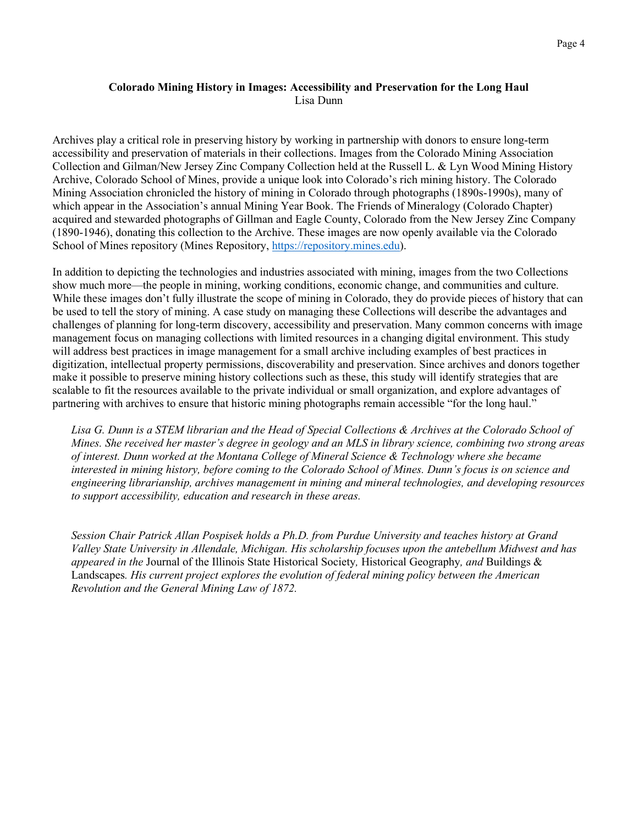# **Colorado Mining History in Images: Accessibility and Preservation for the Long Haul**  Lisa Dunn

Archives play a critical role in preserving history by working in partnership with donors to ensure long-term accessibility and preservation of materials in their collections. Images from the Colorado Mining Association Collection and Gilman/New Jersey Zinc Company Collection held at the Russell L. & Lyn Wood Mining History Archive, Colorado School of Mines, provide a unique look into Colorado's rich mining history. The Colorado Mining Association chronicled the history of mining in Colorado through photographs (1890s-1990s), many of which appear in the Association's annual Mining Year Book. The Friends of Mineralogy (Colorado Chapter) acquired and stewarded photographs of Gillman and Eagle County, Colorado from the New Jersey Zinc Company (1890-1946), donating this collection to the Archive. These images are now openly available via the Colorado School of Mines repository (Mines Repository, [https://repository.mines.edu\)](https://repository.mines.edu/).

In addition to depicting the technologies and industries associated with mining, images from the two Collections show much more—the people in mining, working conditions, economic change, and communities and culture. While these images don't fully illustrate the scope of mining in Colorado, they do provide pieces of history that can be used to tell the story of mining. A case study on managing these Collections will describe the advantages and challenges of planning for long-term discovery, accessibility and preservation. Many common concerns with image management focus on managing collections with limited resources in a changing digital environment. This study will address best practices in image management for a small archive including examples of best practices in digitization, intellectual property permissions, discoverability and preservation. Since archives and donors together make it possible to preserve mining history collections such as these, this study will identify strategies that are scalable to fit the resources available to the private individual or small organization, and explore advantages of partnering with archives to ensure that historic mining photographs remain accessible "for the long haul."

*Lisa G. Dunn is a STEM librarian and the Head of Special Collections & Archives at the Colorado School of Mines. She received her master's degree in geology and an MLS in library science, combining two strong areas of interest. Dunn worked at the Montana College of Mineral Science & Technology where she became interested in mining history, before coming to the Colorado School of Mines. Dunn's focus is on science and engineering librarianship, archives management in mining and mineral technologies, and developing resources to support accessibility, education and research in these areas.* 

*Session Chair Patrick Allan Pospisek holds a Ph.D. from Purdue University and teaches history at Grand Valley State University in Allendale, Michigan. His scholarship focuses upon the antebellum Midwest and has appeared in the* Journal of the Illinois State Historical Society*,* Historical Geography*, and* Buildings & Landscapes*. His current project explores the evolution of federal mining policy between the American Revolution and the General Mining Law of 1872.*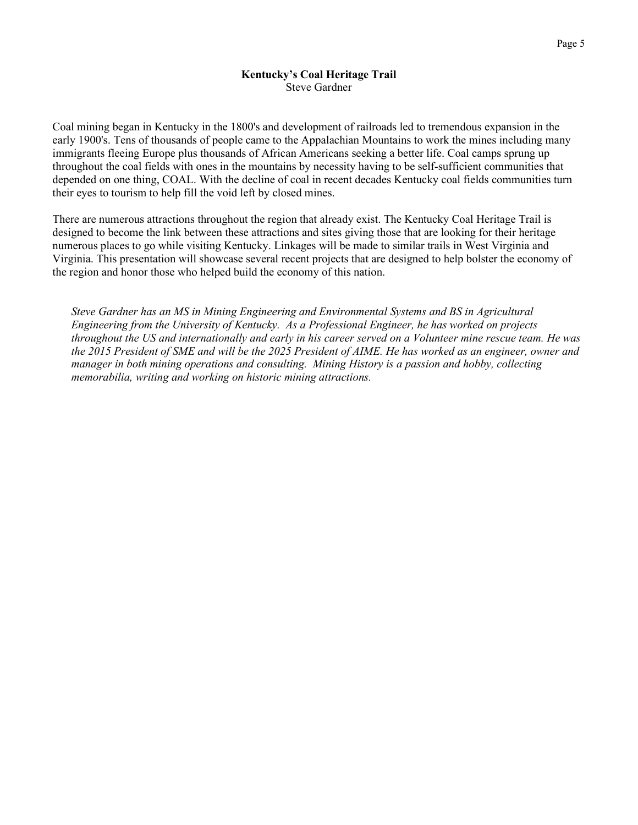## **Kentucky's Coal Heritage Trail** Steve Gardner

Coal mining began in Kentucky in the 1800's and development of railroads led to tremendous expansion in the early 1900's. Tens of thousands of people came to the Appalachian Mountains to work the mines including many immigrants fleeing Europe plus thousands of African Americans seeking a better life. Coal camps sprung up throughout the coal fields with ones in the mountains by necessity having to be self-sufficient communities that depended on one thing, COAL. With the decline of coal in recent decades Kentucky coal fields communities turn their eyes to tourism to help fill the void left by closed mines.

There are numerous attractions throughout the region that already exist. The Kentucky Coal Heritage Trail is designed to become the link between these attractions and sites giving those that are looking for their heritage numerous places to go while visiting Kentucky. Linkages will be made to similar trails in West Virginia and Virginia. This presentation will showcase several recent projects that are designed to help bolster the economy of the region and honor those who helped build the economy of this nation.

*Steve Gardner has an MS in Mining Engineering and Environmental Systems and BS in Agricultural Engineering from the University of Kentucky. As a Professional Engineer, he has worked on projects throughout the US and internationally and early in his career served on a Volunteer mine rescue team. He was the 2015 President of SME and will be the 2025 President of AIME. He has worked as an engineer, owner and manager in both mining operations and consulting. Mining History is a passion and hobby, collecting memorabilia, writing and working on historic mining attractions.*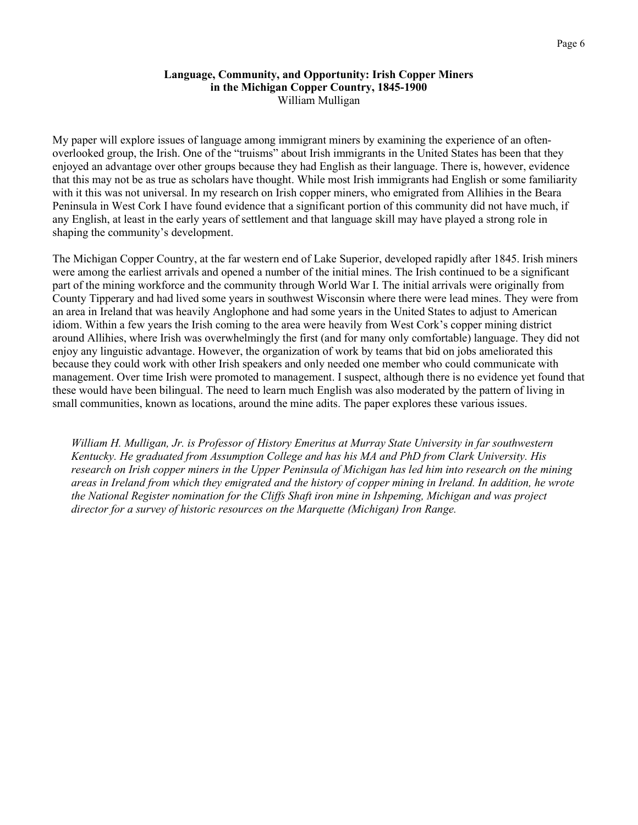# **Language, Community, and Opportunity: Irish Copper Miners in the Michigan Copper Country, 1845-1900** William Mulligan

My paper will explore issues of language among immigrant miners by examining the experience of an oftenoverlooked group, the Irish. One of the "truisms" about Irish immigrants in the United States has been that they enjoyed an advantage over other groups because they had English as their language. There is, however, evidence that this may not be as true as scholars have thought. While most Irish immigrants had English or some familiarity with it this was not universal. In my research on Irish copper miners, who emigrated from Allihies in the Beara Peninsula in West Cork I have found evidence that a significant portion of this community did not have much, if any English, at least in the early years of settlement and that language skill may have played a strong role in shaping the community's development.

The Michigan Copper Country, at the far western end of Lake Superior, developed rapidly after 1845. Irish miners were among the earliest arrivals and opened a number of the initial mines. The Irish continued to be a significant part of the mining workforce and the community through World War I. The initial arrivals were originally from County Tipperary and had lived some years in southwest Wisconsin where there were lead mines. They were from an area in Ireland that was heavily Anglophone and had some years in the United States to adjust to American idiom. Within a few years the Irish coming to the area were heavily from West Cork's copper mining district around Allihies, where Irish was overwhelmingly the first (and for many only comfortable) language. They did not enjoy any linguistic advantage. However, the organization of work by teams that bid on jobs ameliorated this because they could work with other Irish speakers and only needed one member who could communicate with management. Over time Irish were promoted to management. I suspect, although there is no evidence yet found that these would have been bilingual. The need to learn much English was also moderated by the pattern of living in small communities, known as locations, around the mine adits. The paper explores these various issues.

*William H. Mulligan, Jr. is Professor of History Emeritus at Murray State University in far southwestern Kentucky. He graduated from Assumption College and has his MA and PhD from Clark University. His research on Irish copper miners in the Upper Peninsula of Michigan has led him into research on the mining areas in Ireland from which they emigrated and the history of copper mining in Ireland. In addition, he wrote the National Register nomination for the Cliffs Shaft iron mine in Ishpeming, Michigan and was project director for a survey of historic resources on the Marquette (Michigan) Iron Range.*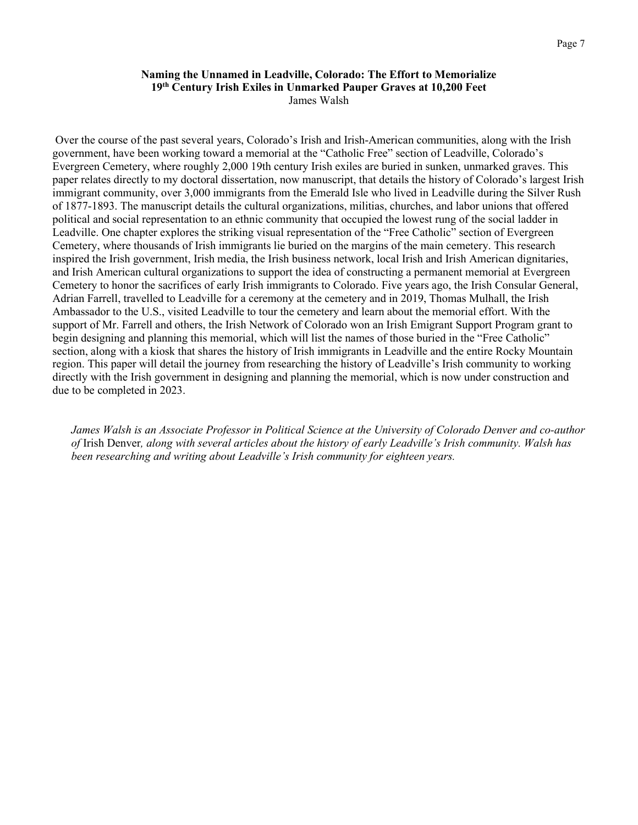## **Naming the Unnamed in Leadville, Colorado: The Effort to Memorialize 19th Century Irish Exiles in Unmarked Pauper Graves at 10,200 Feet** James Walsh

Over the course of the past several years, Colorado's Irish and Irish-American communities, along with the Irish government, have been working toward a memorial at the "Catholic Free" section of Leadville, Colorado's Evergreen Cemetery, where roughly 2,000 19th century Irish exiles are buried in sunken, unmarked graves. This paper relates directly to my doctoral dissertation, now manuscript, that details the history of Colorado's largest Irish immigrant community, over 3,000 immigrants from the Emerald Isle who lived in Leadville during the Silver Rush of 1877-1893. The manuscript details the cultural organizations, militias, churches, and labor unions that offered political and social representation to an ethnic community that occupied the lowest rung of the social ladder in Leadville. One chapter explores the striking visual representation of the "Free Catholic" section of Evergreen Cemetery, where thousands of Irish immigrants lie buried on the margins of the main cemetery. This research inspired the Irish government, Irish media, the Irish business network, local Irish and Irish American dignitaries, and Irish American cultural organizations to support the idea of constructing a permanent memorial at Evergreen Cemetery to honor the sacrifices of early Irish immigrants to Colorado. Five years ago, the Irish Consular General, Adrian Farrell, travelled to Leadville for a ceremony at the cemetery and in 2019, Thomas Mulhall, the Irish Ambassador to the U.S., visited Leadville to tour the cemetery and learn about the memorial effort. With the support of Mr. Farrell and others, the Irish Network of Colorado won an Irish Emigrant Support Program grant to begin designing and planning this memorial, which will list the names of those buried in the "Free Catholic" section, along with a kiosk that shares the history of Irish immigrants in Leadville and the entire Rocky Mountain region. This paper will detail the journey from researching the history of Leadville's Irish community to working directly with the Irish government in designing and planning the memorial, which is now under construction and due to be completed in 2023.

*James Walsh is an Associate Professor in Political Science at the University of Colorado Denver and co-author of* Irish Denver*, along with several articles about the history of early Leadville's Irish community. Walsh has been researching and writing about Leadville's Irish community for eighteen years.*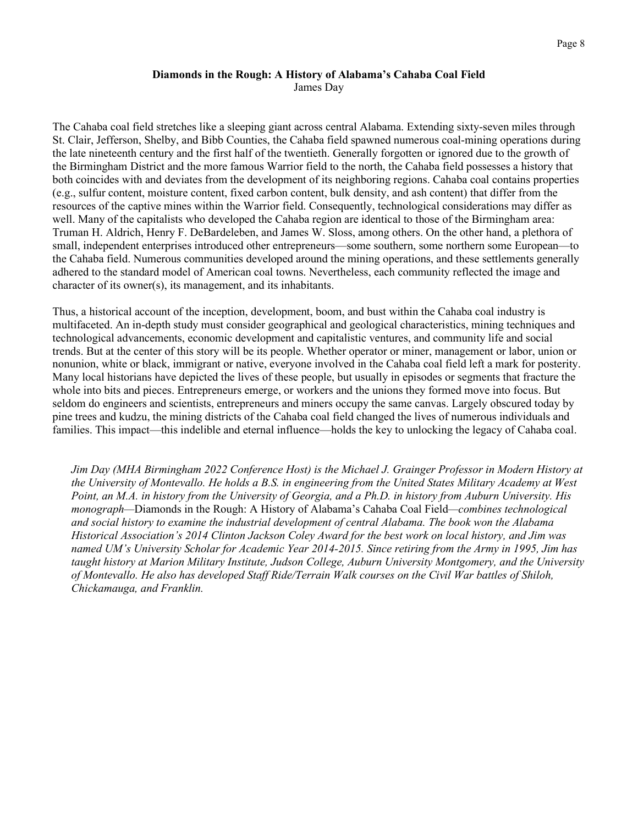#### **Diamonds in the Rough: A History of Alabama's Cahaba Coal Field** James Day

The Cahaba coal field stretches like a sleeping giant across central Alabama. Extending sixty-seven miles through St. Clair, Jefferson, Shelby, and Bibb Counties, the Cahaba field spawned numerous coal-mining operations during the late nineteenth century and the first half of the twentieth. Generally forgotten or ignored due to the growth of the Birmingham District and the more famous Warrior field to the north, the Cahaba field possesses a history that both coincides with and deviates from the development of its neighboring regions. Cahaba coal contains properties (e.g., sulfur content, moisture content, fixed carbon content, bulk density, and ash content) that differ from the resources of the captive mines within the Warrior field. Consequently, technological considerations may differ as well. Many of the capitalists who developed the Cahaba region are identical to those of the Birmingham area: Truman H. Aldrich, Henry F. DeBardeleben, and James W. Sloss, among others. On the other hand, a plethora of small, independent enterprises introduced other entrepreneurs—some southern, some northern some European—to the Cahaba field. Numerous communities developed around the mining operations, and these settlements generally adhered to the standard model of American coal towns. Nevertheless, each community reflected the image and character of its owner(s), its management, and its inhabitants.

Thus, a historical account of the inception, development, boom, and bust within the Cahaba coal industry is multifaceted. An in-depth study must consider geographical and geological characteristics, mining techniques and technological advancements, economic development and capitalistic ventures, and community life and social trends. But at the center of this story will be its people. Whether operator or miner, management or labor, union or nonunion, white or black, immigrant or native, everyone involved in the Cahaba coal field left a mark for posterity. Many local historians have depicted the lives of these people, but usually in episodes or segments that fracture the whole into bits and pieces. Entrepreneurs emerge, or workers and the unions they formed move into focus. But seldom do engineers and scientists, entrepreneurs and miners occupy the same canvas. Largely obscured today by pine trees and kudzu, the mining districts of the Cahaba coal field changed the lives of numerous individuals and families. This impact—this indelible and eternal influence—holds the key to unlocking the legacy of Cahaba coal.

*Jim Day (MHA Birmingham 2022 Conference Host) is the Michael J. Grainger Professor in Modern History at the University of Montevallo. He holds a B.S. in engineering from the United States Military Academy at West Point, an M.A. in history from the University of Georgia, and a Ph.D. in history from Auburn University. His monograph—*Diamonds in the Rough: A History of Alabama's Cahaba Coal Field*—combines technological and social history to examine the industrial development of central Alabama. The book won the Alabama Historical Association's 2014 Clinton Jackson Coley Award for the best work on local history, and Jim was named UM's University Scholar for Academic Year 2014-2015. Since retiring from the Army in 1995, Jim has taught history at Marion Military Institute, Judson College, Auburn University Montgomery, and the University of Montevallo. He also has developed Staff Ride/Terrain Walk courses on the Civil War battles of Shiloh, Chickamauga, and Franklin.*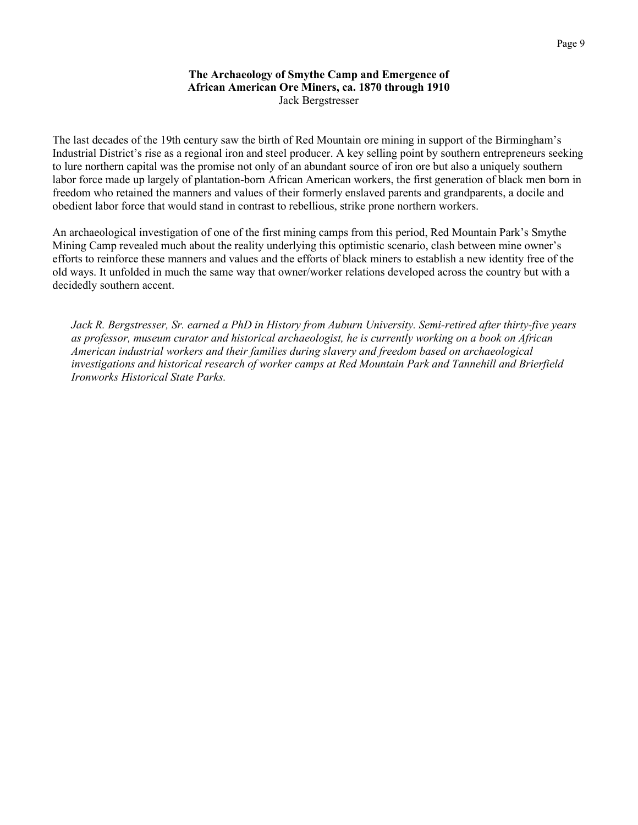# **The Archaeology of Smythe Camp and Emergence of African American Ore Miners, ca. 1870 through 1910** Jack Bergstresser

The last decades of the 19th century saw the birth of Red Mountain ore mining in support of the Birmingham's Industrial District's rise as a regional iron and steel producer. A key selling point by southern entrepreneurs seeking to lure northern capital was the promise not only of an abundant source of iron ore but also a uniquely southern labor force made up largely of plantation-born African American workers, the first generation of black men born in freedom who retained the manners and values of their formerly enslaved parents and grandparents, a docile and obedient labor force that would stand in contrast to rebellious, strike prone northern workers.

An archaeological investigation of one of the first mining camps from this period, Red Mountain Park's Smythe Mining Camp revealed much about the reality underlying this optimistic scenario, clash between mine owner's efforts to reinforce these manners and values and the efforts of black miners to establish a new identity free of the old ways. It unfolded in much the same way that owner/worker relations developed across the country but with a decidedly southern accent.

*Jack R. Bergstresser, Sr. earned a PhD in History from Auburn University. Semi-retired after thirty-five years as professor, museum curator and historical archaeologist, he is currently working on a book on African American industrial workers and their families during slavery and freedom based on archaeological investigations and historical research of worker camps at Red Mountain Park and Tannehill and Brierfield Ironworks Historical State Parks.*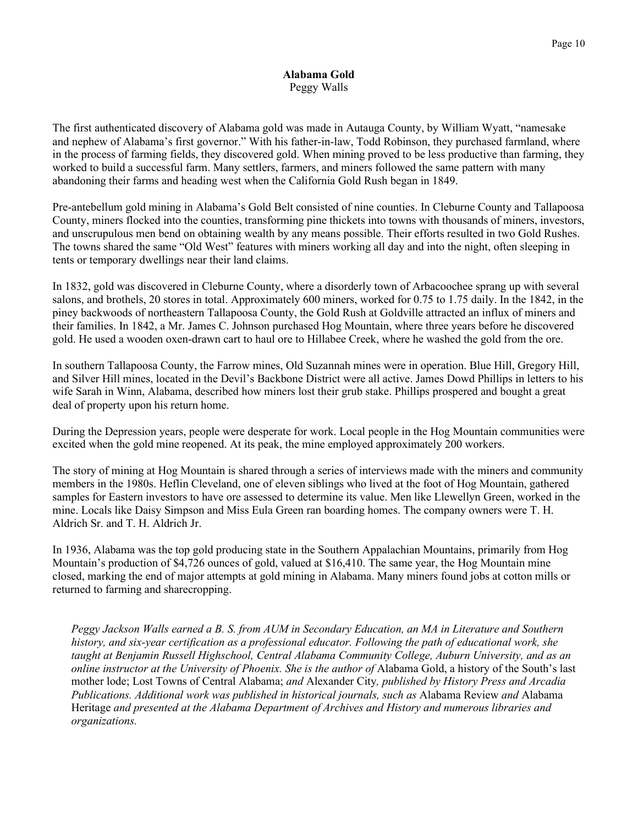#### **Alabama Gold** Peggy Walls

The first authenticated discovery of Alabama gold was made in Autauga County, by William Wyatt, "namesake and nephew of Alabama's first governor." With his father-in-law, Todd Robinson, they purchased farmland, where in the process of farming fields, they discovered gold. When mining proved to be less productive than farming, they worked to build a successful farm. Many settlers, farmers, and miners followed the same pattern with many abandoning their farms and heading west when the California Gold Rush began in 1849.

Pre-antebellum gold mining in Alabama's Gold Belt consisted of nine counties. In Cleburne County and Tallapoosa County, miners flocked into the counties, transforming pine thickets into towns with thousands of miners, investors, and unscrupulous men bend on obtaining wealth by any means possible. Their efforts resulted in two Gold Rushes. The towns shared the same "Old West" features with miners working all day and into the night, often sleeping in tents or temporary dwellings near their land claims.

In 1832, gold was discovered in Cleburne County, where a disorderly town of Arbacoochee sprang up with several salons, and brothels, 20 stores in total. Approximately 600 miners, worked for 0.75 to 1.75 daily. In the 1842, in the piney backwoods of northeastern Tallapoosa County, the Gold Rush at Goldville attracted an influx of miners and their families. In 1842, a Mr. James C. Johnson purchased Hog Mountain, where three years before he discovered gold. He used a wooden oxen-drawn cart to haul ore to Hillabee Creek, where he washed the gold from the ore.

In southern Tallapoosa County, the Farrow mines, Old Suzannah mines were in operation. Blue Hill, Gregory Hill, and Silver Hill mines, located in the Devil's Backbone District were all active. James Dowd Phillips in letters to his wife Sarah in Winn, Alabama, described how miners lost their grub stake. Phillips prospered and bought a great deal of property upon his return home.

During the Depression years, people were desperate for work. Local people in the Hog Mountain communities were excited when the gold mine reopened. At its peak, the mine employed approximately 200 workers.

The story of mining at Hog Mountain is shared through a series of interviews made with the miners and community members in the 1980s. Heflin Cleveland, one of eleven siblings who lived at the foot of Hog Mountain, gathered samples for Eastern investors to have ore assessed to determine its value. Men like Llewellyn Green, worked in the mine. Locals like Daisy Simpson and Miss Eula Green ran boarding homes. The company owners were T. H. Aldrich Sr. and T. H. Aldrich Jr.

In 1936, Alabama was the top gold producing state in the Southern Appalachian Mountains, primarily from Hog Mountain's production of \$4,726 ounces of gold, valued at \$16,410. The same year, the Hog Mountain mine closed, marking the end of major attempts at gold mining in Alabama. Many miners found jobs at cotton mills or returned to farming and sharecropping.

*Peggy Jackson Walls earned a B. S. from AUM in Secondary Education, an MA in Literature and Southern history, and six-year certification as a professional educator. Following the path of educational work, she taught at Benjamin Russell Highschool, Central Alabama Community College, Auburn University, and as an online instructor at the University of Phoenix. She is the author of Alabama Gold, a history of the South's last* mother lode; Lost Towns of Central Alabama; *and* Alexander City*, published by History Press and Arcadia Publications. Additional work was published in historical journals, such as* Alabama Review *and* Alabama Heritage *and presented at the Alabama Department of Archives and History and numerous libraries and organizations.*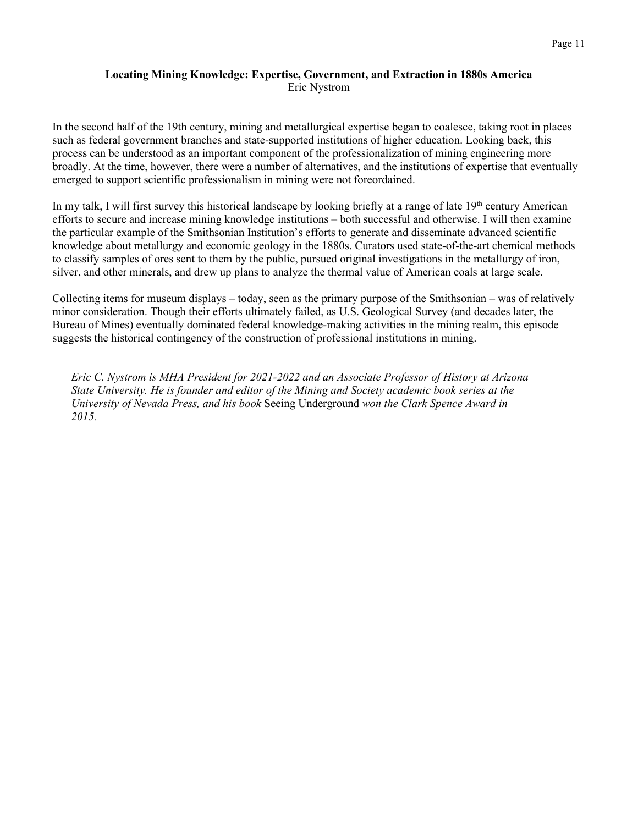## **Locating Mining Knowledge: Expertise, Government, and Extraction in 1880s America** Eric Nystrom

In the second half of the 19th century, mining and metallurgical expertise began to coalesce, taking root in places such as federal government branches and state-supported institutions of higher education. Looking back, this process can be understood as an important component of the professionalization of mining engineering more broadly. At the time, however, there were a number of alternatives, and the institutions of expertise that eventually emerged to support scientific professionalism in mining were not foreordained.

In my talk, I will first survey this historical landscape by looking briefly at a range of late 19<sup>th</sup> century American efforts to secure and increase mining knowledge institutions – both successful and otherwise. I will then examine the particular example of the Smithsonian Institution's efforts to generate and disseminate advanced scientific knowledge about metallurgy and economic geology in the 1880s. Curators used state-of-the-art chemical methods to classify samples of ores sent to them by the public, pursued original investigations in the metallurgy of iron, silver, and other minerals, and drew up plans to analyze the thermal value of American coals at large scale.

Collecting items for museum displays – today, seen as the primary purpose of the Smithsonian – was of relatively minor consideration. Though their efforts ultimately failed, as U.S. Geological Survey (and decades later, the Bureau of Mines) eventually dominated federal knowledge-making activities in the mining realm, this episode suggests the historical contingency of the construction of professional institutions in mining.

*Eric C. Nystrom is MHA President for 2021-2022 and an Associate Professor of History at Arizona State University. He is founder and editor of the Mining and Society academic book series at the University of Nevada Press, and his book* Seeing Underground *won the Clark Spence Award in 2015.*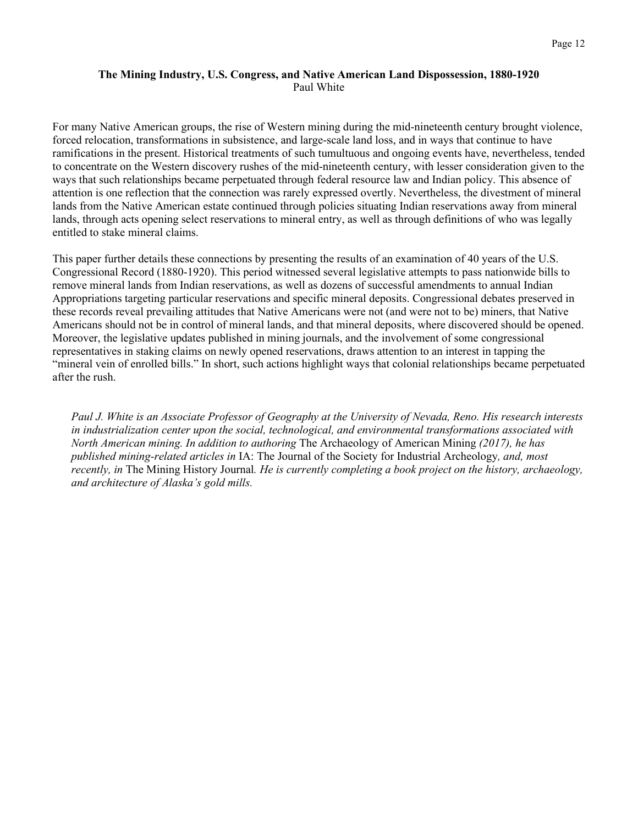## **The Mining Industry, U.S. Congress, and Native American Land Dispossession, 1880-1920** Paul White

For many Native American groups, the rise of Western mining during the mid-nineteenth century brought violence, forced relocation, transformations in subsistence, and large-scale land loss, and in ways that continue to have ramifications in the present. Historical treatments of such tumultuous and ongoing events have, nevertheless, tended to concentrate on the Western discovery rushes of the mid-nineteenth century, with lesser consideration given to the ways that such relationships became perpetuated through federal resource law and Indian policy. This absence of attention is one reflection that the connection was rarely expressed overtly. Nevertheless, the divestment of mineral lands from the Native American estate continued through policies situating Indian reservations away from mineral lands, through acts opening select reservations to mineral entry, as well as through definitions of who was legally entitled to stake mineral claims.

This paper further details these connections by presenting the results of an examination of 40 years of the U.S. Congressional Record (1880-1920). This period witnessed several legislative attempts to pass nationwide bills to remove mineral lands from Indian reservations, as well as dozens of successful amendments to annual Indian Appropriations targeting particular reservations and specific mineral deposits. Congressional debates preserved in these records reveal prevailing attitudes that Native Americans were not (and were not to be) miners, that Native Americans should not be in control of mineral lands, and that mineral deposits, where discovered should be opened. Moreover, the legislative updates published in mining journals, and the involvement of some congressional representatives in staking claims on newly opened reservations, draws attention to an interest in tapping the "mineral vein of enrolled bills." In short, such actions highlight ways that colonial relationships became perpetuated after the rush.

*Paul J. White is an Associate Professor of Geography at the University of Nevada, Reno. His research interests in industrialization center upon the social, technological, and environmental transformations associated with North American mining. In addition to authoring* The Archaeology of American Mining *(2017), he has published mining-related articles in* IA: The Journal of the Society for Industrial Archeology*, and, most recently, in* The Mining History Journal*. He is currently completing a book project on the history, archaeology, and architecture of Alaska's gold mills.*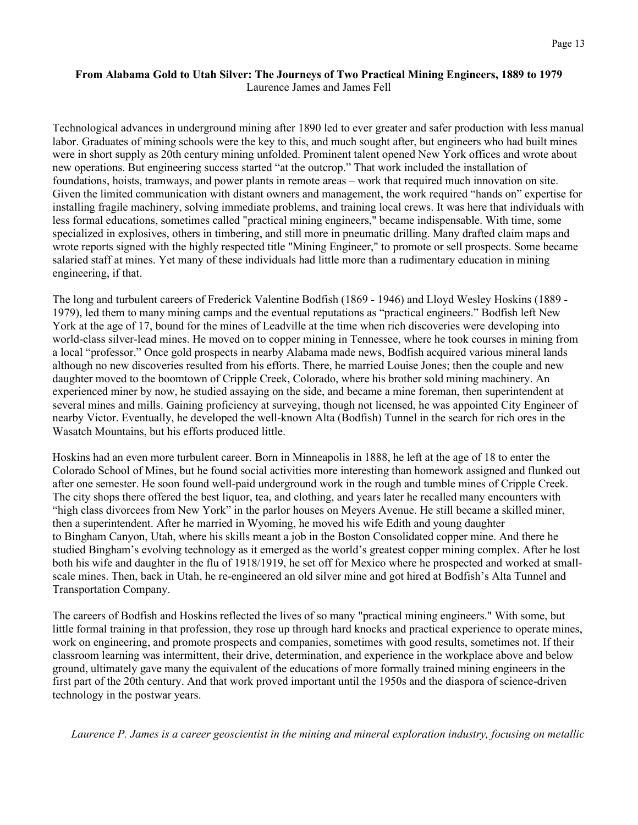#### **From Alabama Gold to Utah Silver: The Journeys of Two Practical Mining Engineers, 1889 to 1979** Laurence James and James Fell

Technological advances in underground mining after 1890 led to ever greater and safer production with less manual labor. Graduates of mining schools were the key to this, and much sought after, but engineers who had built mines were in short supply as 20th century mining unfolded. Prominent talent opened New York offices and wrote about new operations. But engineering success started "at the outcrop." That work included the installation of foundations, hoists, tramways, and power plants in remote areas – work that required much innovation on site. Given the limited communication with distant owners and management, the work required "hands on" expertise for installing fragile machinery, solving immediate problems, and training local crews. It was here that individuals with less formal educations, sometimes called "practical mining engineers," became indispensable. With time, some specialized in explosives, others in timbering, and still more in pneumatic drilling. Many drafted claim maps and wrote reports signed with the highly respected title "Mining Engineer," to promote or sell prospects. Some became salaried staff at mines. Yet many of these individuals had little more than a rudimentary education in mining engineering, if that.

The long and turbulent careers of Frederick Valentine Bodfish (1869 - 1946) and Lloyd Wesley Hoskins (1889 - 1979), led them to many mining camps and the eventual reputations as "practical engineers." Bodfish left New York at the age of 17, bound for the mines of Leadville at the time when rich discoveries were developing into world-class silver-lead mines. He moved on to copper mining in Tennessee, where he took courses in mining from a local "professor." Once gold prospects in nearby Alabama made news, Bodfish acquired various mineral lands although no new discoveries resulted from his efforts. There, he married Louise Jones; then the couple and new daughter moved to the boomtown of Cripple Creek, Colorado, where his brother sold mining machinery. An experienced miner by now, he studied assaying on the side, and became a mine foreman, then superintendent at several mines and mills. Gaining proficiency at surveying, though not licensed, he was appointed City Engineer of nearby Victor. Eventually, he developed the well-known Alta (Bodfish) Tunnel in the search for rich ores in the Wasatch Mountains, but his efforts produced little.

Hoskins had an even more turbulent career. Born in Minneapolis in 1888, he left at the age of 18 to enter the Colorado School of Mines, but he found social activities more interesting than homework assigned and flunked out after one semester. He soon found well-paid underground work in the rough and tumble mines of Cripple Creek. The city shops there offered the best liquor, tea, and clothing, and years later he recalled many encounters with "high class divorcees from New York" in the parlor houses on Meyers Avenue. He still became a skilled miner, then a superintendent. After he married in Wyoming, he moved his wife Edith and young daughter to Bingham Canyon, Utah, where his skills meant a job in the Boston Consolidated copper mine. And there he studied Bingham's evolving technology as it emerged as the world's greatest copper mining complex. After he lost both his wife and daughter in the flu of 1918/1919, he set off for Mexico where he prospected and worked at smallscale mines. Then, back in Utah, he re-engineered an old silver mine and got hired at Bodfish's Alta Tunnel and Transportation Company.

The careers of Bodfish and Hoskins reflected the lives of so many "practical mining engineers." With some, but little formal training in that profession, they rose up through hard knocks and practical experience to operate mines, work on engineering, and promote prospects and companies, sometimes with good results, sometimes not. If their classroom learning was intermittent, their drive, determination, and experience in the workplace above and below ground, ultimately gave many the equivalent of the educations of more formally trained mining engineers in the first part of the 20th century. And that work proved important until the 1950s and the diaspora of science-driven technology in the postwar years.

*Laurence P. James is a career geoscientist in the mining and mineral exploration industry, focusing on metallic*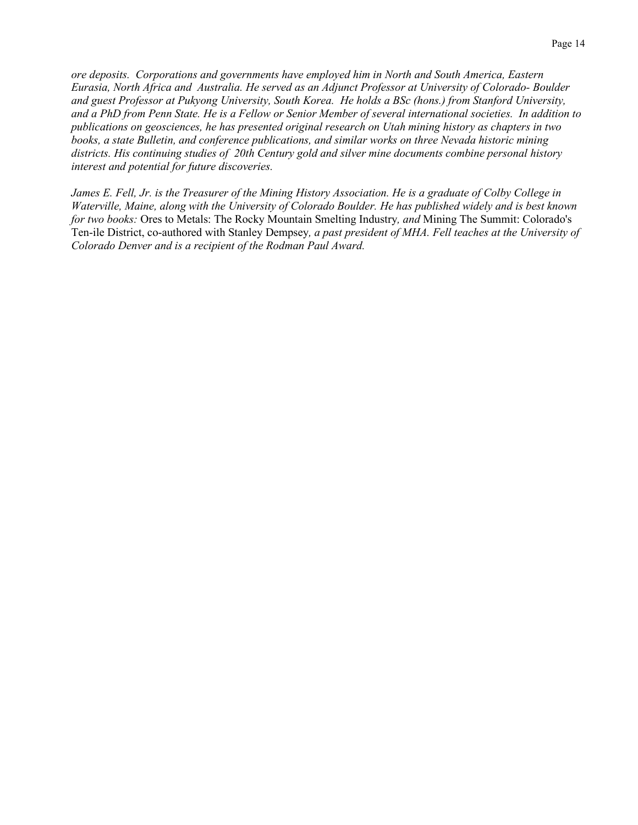*ore deposits. Corporations and governments have employed him in North and South America, Eastern Eurasia, North Africa and Australia. He served as an Adjunct Professor at University of Colorado- Boulder and guest Professor at Pukyong University, South Korea. He holds a BSc (hons.) from Stanford University, and a PhD from Penn State. He is a Fellow or Senior Member of several international societies. In addition to publications on geosciences, he has presented original research on Utah mining history as chapters in two books, a state Bulletin, and conference publications, and similar works on three Nevada historic mining districts. His continuing studies of 20th Century gold and silver mine documents combine personal history interest and potential for future discoveries.*

*James E. Fell, Jr. is the Treasurer of the Mining History Association. He is a graduate of Colby College in Waterville, Maine, along with the University of Colorado Boulder. He has published widely and is best known for two books:* Ores to Metals: The Rocky Mountain Smelting Industry*, and* Mining The Summit: Colorado's Ten-ile District, co-authored with Stanley Dempsey*, a past president of MHA. Fell teaches at the University of Colorado Denver and is a recipient of the Rodman Paul Award.*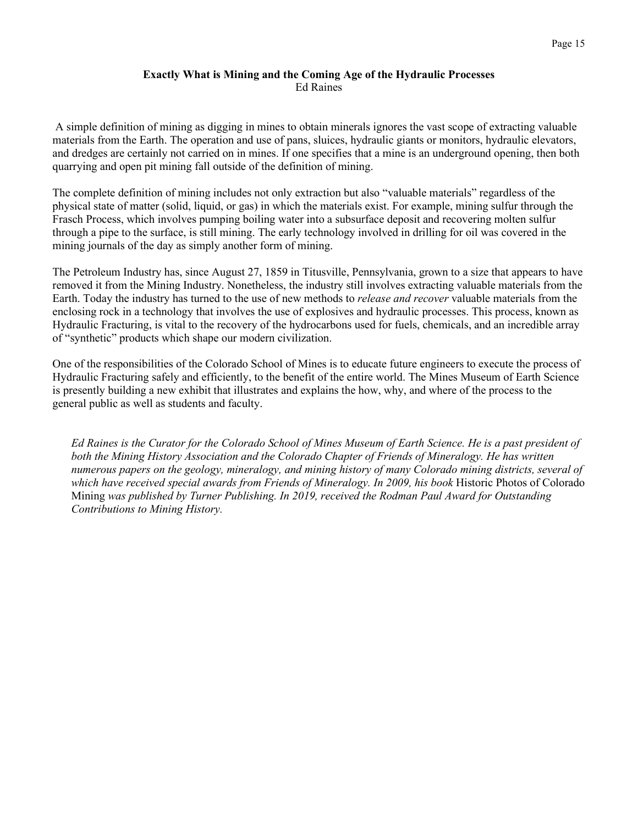## **Exactly What is Mining and the Coming Age of the Hydraulic Processes** Ed Raines

A simple definition of mining as digging in mines to obtain minerals ignores the vast scope of extracting valuable materials from the Earth. The operation and use of pans, sluices, hydraulic giants or monitors, hydraulic elevators, and dredges are certainly not carried on in mines. If one specifies that a mine is an underground opening, then both quarrying and open pit mining fall outside of the definition of mining.

The complete definition of mining includes not only extraction but also "valuable materials" regardless of the physical state of matter (solid, liquid, or gas) in which the materials exist. For example, mining sulfur through the Frasch Process, which involves pumping boiling water into a subsurface deposit and recovering molten sulfur through a pipe to the surface, is still mining. The early technology involved in drilling for oil was covered in the mining journals of the day as simply another form of mining.

The Petroleum Industry has, since August 27, 1859 in Titusville, Pennsylvania, grown to a size that appears to have removed it from the Mining Industry. Nonetheless, the industry still involves extracting valuable materials from the Earth. Today the industry has turned to the use of new methods to *release and recover* valuable materials from the enclosing rock in a technology that involves the use of explosives and hydraulic processes. This process, known as Hydraulic Fracturing, is vital to the recovery of the hydrocarbons used for fuels, chemicals, and an incredible array of "synthetic" products which shape our modern civilization.

One of the responsibilities of the Colorado School of Mines is to educate future engineers to execute the process of Hydraulic Fracturing safely and efficiently, to the benefit of the entire world. The Mines Museum of Earth Science is presently building a new exhibit that illustrates and explains the how, why, and where of the process to the general public as well as students and faculty.

*Ed Raines is the Curator for the Colorado School of Mines Museum of Earth Science. He is a past president of both the Mining History Association and the Colorado Chapter of Friends of Mineralogy. He has written numerous papers on the geology, mineralogy, and mining history of many Colorado mining districts, several of*  which have received special awards from Friends of Mineralogy. In 2009, his book Historic Photos of Colorado Mining *was published by Turner Publishing. In 2019, received the Rodman Paul Award for Outstanding Contributions to Mining History.*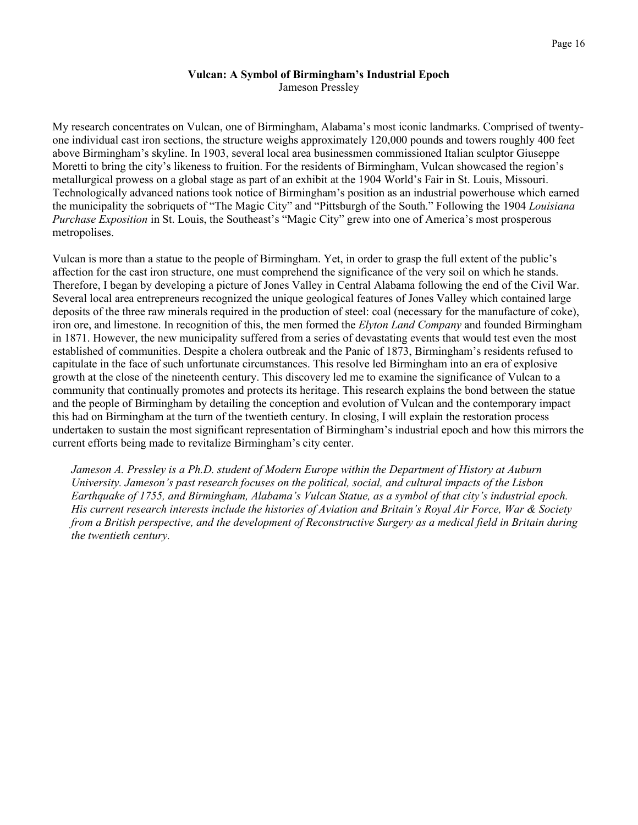## **Vulcan: A Symbol of Birmingham's Industrial Epoch** Jameson Pressley

My research concentrates on Vulcan, one of Birmingham, Alabama's most iconic landmarks. Comprised of twentyone individual cast iron sections, the structure weighs approximately 120,000 pounds and towers roughly 400 feet above Birmingham's skyline. In 1903, several local area businessmen commissioned Italian sculptor Giuseppe Moretti to bring the city's likeness to fruition. For the residents of Birmingham, Vulcan showcased the region's metallurgical prowess on a global stage as part of an exhibit at the 1904 World's Fair in St. Louis, Missouri. Technologically advanced nations took notice of Birmingham's position as an industrial powerhouse which earned the municipality the sobriquets of "The Magic City" and "Pittsburgh of the South." Following the 1904 *Louisiana Purchase Exposition* in St. Louis, the Southeast's "Magic City" grew into one of America's most prosperous metropolises.

Vulcan is more than a statue to the people of Birmingham. Yet, in order to grasp the full extent of the public's affection for the cast iron structure, one must comprehend the significance of the very soil on which he stands. Therefore, I began by developing a picture of Jones Valley in Central Alabama following the end of the Civil War. Several local area entrepreneurs recognized the unique geological features of Jones Valley which contained large deposits of the three raw minerals required in the production of steel: coal (necessary for the manufacture of coke), iron ore, and limestone. In recognition of this, the men formed the *Elyton Land Company* and founded Birmingham in 1871. However, the new municipality suffered from a series of devastating events that would test even the most established of communities. Despite a cholera outbreak and the Panic of 1873, Birmingham's residents refused to capitulate in the face of such unfortunate circumstances. This resolve led Birmingham into an era of explosive growth at the close of the nineteenth century. This discovery led me to examine the significance of Vulcan to a community that continually promotes and protects its heritage. This research explains the bond between the statue and the people of Birmingham by detailing the conception and evolution of Vulcan and the contemporary impact this had on Birmingham at the turn of the twentieth century. In closing, I will explain the restoration process undertaken to sustain the most significant representation of Birmingham's industrial epoch and how this mirrors the current efforts being made to revitalize Birmingham's city center.

*Jameson A. Pressley is a Ph.D. student of Modern Europe within the Department of History at Auburn University. Jameson's past research focuses on the political, social, and cultural impacts of the Lisbon Earthquake of 1755, and Birmingham, Alabama's Vulcan Statue, as a symbol of that city's industrial epoch. His current research interests include the histories of Aviation and Britain's Royal Air Force, War & Society from a British perspective, and the development of Reconstructive Surgery as a medical field in Britain during the twentieth century.*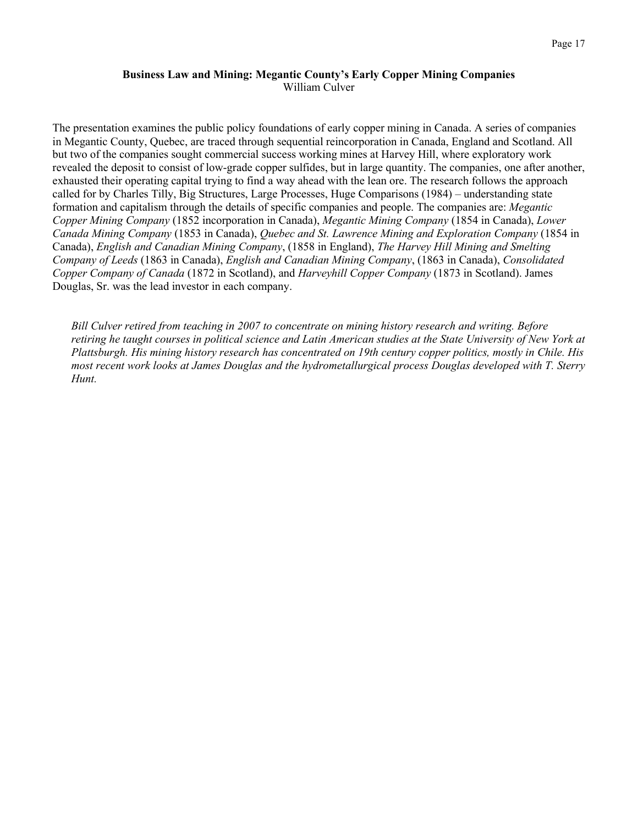#### **Business Law and Mining: Megantic County's Early Copper Mining Companies** William Culver

The presentation examines the public policy foundations of early copper mining in Canada. A series of companies in Megantic County, Quebec, are traced through sequential reincorporation in Canada, England and Scotland. All but two of the companies sought commercial success working mines at Harvey Hill, where exploratory work revealed the deposit to consist of low-grade copper sulfides, but in large quantity. The companies, one after another, exhausted their operating capital trying to find a way ahead with the lean ore. The research follows the approach called for by Charles Tilly, Big Structures, Large Processes, Huge Comparisons (1984) – understanding state formation and capitalism through the details of specific companies and people. The companies are: *Megantic Copper Mining Company* (1852 incorporation in Canada), *Megantic Mining Company* (1854 in Canada), *Lower Canada Mining Company* (1853 in Canada), *Quebec and St. Lawrence Mining and Exploration Company* (1854 in Canada), *English and Canadian Mining Company*, (1858 in England), *The Harvey Hill Mining and Smelting Company of Leeds* (1863 in Canada), *English and Canadian Mining Company*, (1863 in Canada), *Consolidated Copper Company of Canada* (1872 in Scotland), and *Harveyhill Copper Company* (1873 in Scotland). James Douglas, Sr. was the lead investor in each company.

*Bill Culver retired from teaching in 2007 to concentrate on mining history research and writing. Before retiring he taught courses in political science and Latin American studies at the State University of New York at Plattsburgh. His mining history research has concentrated on 19th century copper politics, mostly in Chile. His most recent work looks at James Douglas and the hydrometallurgical process Douglas developed with T. Sterry Hunt.*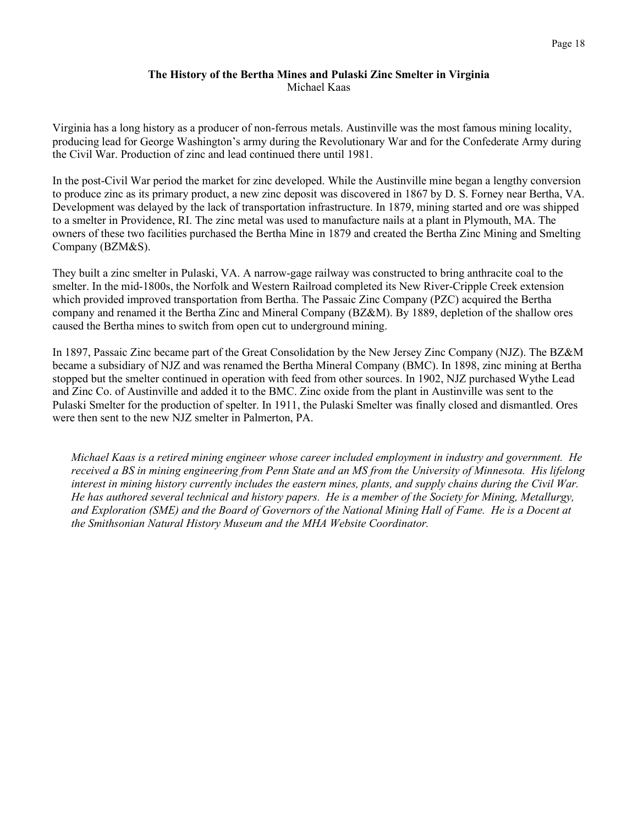#### **The History of the Bertha Mines and Pulaski Zinc Smelter in Virginia** Michael Kaas

Virginia has a long history as a producer of non-ferrous metals. Austinville was the most famous mining locality, producing lead for George Washington's army during the Revolutionary War and for the Confederate Army during the Civil War. Production of zinc and lead continued there until 1981.

In the post-Civil War period the market for zinc developed. While the Austinville mine began a lengthy conversion to produce zinc as its primary product, a new zinc deposit was discovered in 1867 by D. S. Forney near Bertha, VA. Development was delayed by the lack of transportation infrastructure. In 1879, mining started and ore was shipped to a smelter in Providence, RI. The zinc metal was used to manufacture nails at a plant in Plymouth, MA. The owners of these two facilities purchased the Bertha Mine in 1879 and created the Bertha Zinc Mining and Smelting Company (BZM&S).

They built a zinc smelter in Pulaski, VA. A narrow-gage railway was constructed to bring anthracite coal to the smelter. In the mid-1800s, the Norfolk and Western Railroad completed its New River-Cripple Creek extension which provided improved transportation from Bertha. The Passaic Zinc Company (PZC) acquired the Bertha company and renamed it the Bertha Zinc and Mineral Company (BZ&M). By 1889, depletion of the shallow ores caused the Bertha mines to switch from open cut to underground mining.

In 1897, Passaic Zinc became part of the Great Consolidation by the New Jersey Zinc Company (NJZ). The BZ&M became a subsidiary of NJZ and was renamed the Bertha Mineral Company (BMC). In 1898, zinc mining at Bertha stopped but the smelter continued in operation with feed from other sources. In 1902, NJZ purchased Wythe Lead and Zinc Co. of Austinville and added it to the BMC. Zinc oxide from the plant in Austinville was sent to the Pulaski Smelter for the production of spelter. In 1911, the Pulaski Smelter was finally closed and dismantled. Ores were then sent to the new NJZ smelter in Palmerton, PA.

*Michael Kaas is a retired mining engineer whose career included employment in industry and government. He received a BS in mining engineering from Penn State and an MS from the University of Minnesota. His lifelong interest in mining history currently includes the eastern mines, plants, and supply chains during the Civil War. He has authored several technical and history papers. He is a member of the Society for Mining, Metallurgy, and Exploration (SME) and the Board of Governors of the National Mining Hall of Fame. He is a Docent at the Smithsonian Natural History Museum and the MHA Website Coordinator.*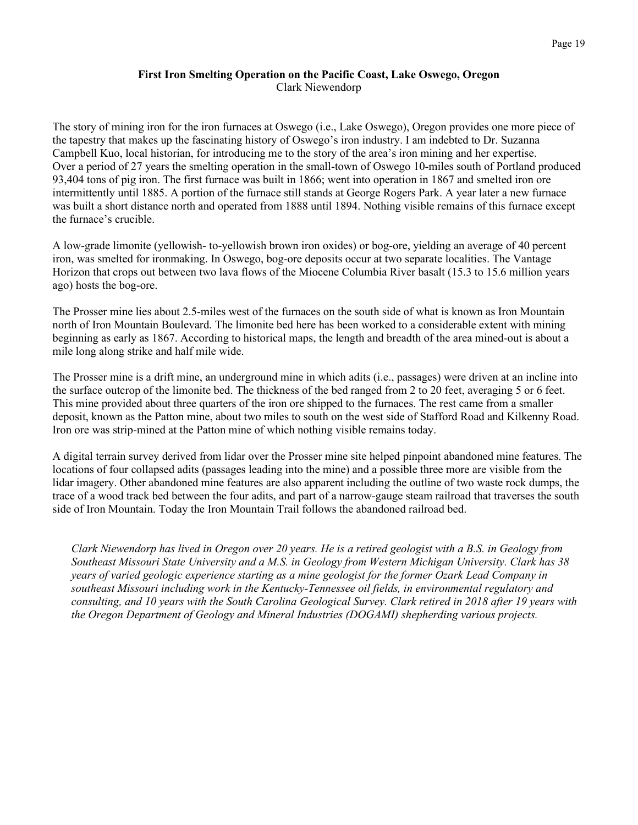## **First Iron Smelting Operation on the Pacific Coast, Lake Oswego, Oregon** Clark Niewendorp

The story of mining iron for the iron furnaces at Oswego (i.e., Lake Oswego), Oregon provides one more piece of the tapestry that makes up the fascinating history of Oswego's iron industry. I am indebted to Dr. Suzanna Campbell Kuo, local historian, for introducing me to the story of the area's iron mining and her expertise. Over a period of 27 years the smelting operation in the small-town of Oswego 10-miles south of Portland produced 93,404 tons of pig iron. The first furnace was built in 1866; went into operation in 1867 and smelted iron ore intermittently until 1885. A portion of the furnace still stands at George Rogers Park. A year later a new furnace was built a short distance north and operated from 1888 until 1894. Nothing visible remains of this furnace except the furnace's crucible.

A low-grade limonite (yellowish- to-yellowish brown iron oxides) or bog-ore, yielding an average of 40 percent iron, was smelted for ironmaking. In Oswego, bog-ore deposits occur at two separate localities. The Vantage Horizon that crops out between two lava flows of the Miocene Columbia River basalt (15.3 to 15.6 million years ago) hosts the bog-ore.

The Prosser mine lies about 2.5-miles west of the furnaces on the south side of what is known as Iron Mountain north of Iron Mountain Boulevard. The limonite bed here has been worked to a considerable extent with mining beginning as early as 1867. According to historical maps, the length and breadth of the area mined-out is about a mile long along strike and half mile wide.

The Prosser mine is a drift mine, an underground mine in which adits (i.e., passages) were driven at an incline into the surface outcrop of the limonite bed. The thickness of the bed ranged from 2 to 20 feet, averaging 5 or 6 feet. This mine provided about three quarters of the iron ore shipped to the furnaces. The rest came from a smaller deposit, known as the Patton mine, about two miles to south on the west side of Stafford Road and Kilkenny Road. Iron ore was strip-mined at the Patton mine of which nothing visible remains today.

A digital terrain survey derived from lidar over the Prosser mine site helped pinpoint abandoned mine features. The locations of four collapsed adits (passages leading into the mine) and a possible three more are visible from the lidar imagery. Other abandoned mine features are also apparent including the outline of two waste rock dumps, the trace of a wood track bed between the four adits, and part of a narrow-gauge steam railroad that traverses the south side of Iron Mountain. Today the Iron Mountain Trail follows the abandoned railroad bed.

*Clark Niewendorp has lived in Oregon over 20 years. He is a retired geologist with a B.S. in Geology from Southeast Missouri State University and a M.S. in Geology from Western Michigan University. Clark has 38 years of varied geologic experience starting as a mine geologist for the former Ozark Lead Company in southeast Missouri including work in the Kentucky-Tennessee oil fields, in environmental regulatory and consulting, and 10 years with the South Carolina Geological Survey. Clark retired in 2018 after 19 years with the Oregon Department of Geology and Mineral Industries (DOGAMI) shepherding various projects.*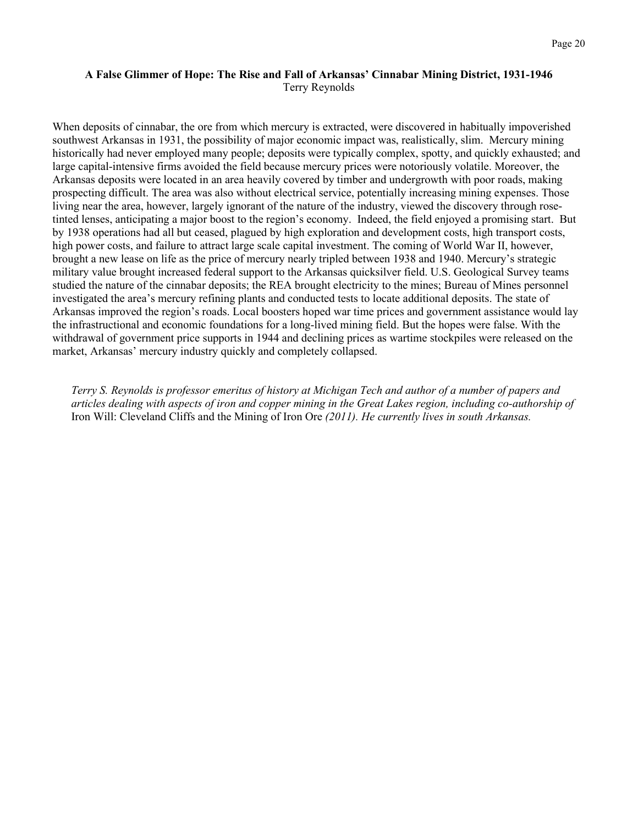#### **A False Glimmer of Hope: The Rise and Fall of Arkansas' Cinnabar Mining District, 1931-1946** Terry Reynolds

When deposits of cinnabar, the ore from which mercury is extracted, were discovered in habitually impoverished southwest Arkansas in 1931, the possibility of major economic impact was, realistically, slim. Mercury mining historically had never employed many people; deposits were typically complex, spotty, and quickly exhausted; and large capital-intensive firms avoided the field because mercury prices were notoriously volatile. Moreover, the Arkansas deposits were located in an area heavily covered by timber and undergrowth with poor roads, making prospecting difficult. The area was also without electrical service, potentially increasing mining expenses. Those living near the area, however, largely ignorant of the nature of the industry, viewed the discovery through rosetinted lenses, anticipating a major boost to the region's economy. Indeed, the field enjoyed a promising start. But by 1938 operations had all but ceased, plagued by high exploration and development costs, high transport costs, high power costs, and failure to attract large scale capital investment. The coming of World War II, however, brought a new lease on life as the price of mercury nearly tripled between 1938 and 1940. Mercury's strategic military value brought increased federal support to the Arkansas quicksilver field. U.S. Geological Survey teams studied the nature of the cinnabar deposits; the REA brought electricity to the mines; Bureau of Mines personnel investigated the area's mercury refining plants and conducted tests to locate additional deposits. The state of Arkansas improved the region's roads. Local boosters hoped war time prices and government assistance would lay the infrastructional and economic foundations for a long-lived mining field. But the hopes were false. With the withdrawal of government price supports in 1944 and declining prices as wartime stockpiles were released on the market, Arkansas' mercury industry quickly and completely collapsed.

*Terry S. Reynolds is professor emeritus of history at Michigan Tech and author of a number of papers and articles dealing with aspects of iron and copper mining in the Great Lakes region, including co-authorship of*  Iron Will: Cleveland Cliffs and the Mining of Iron Ore *(2011). He currently lives in south Arkansas.*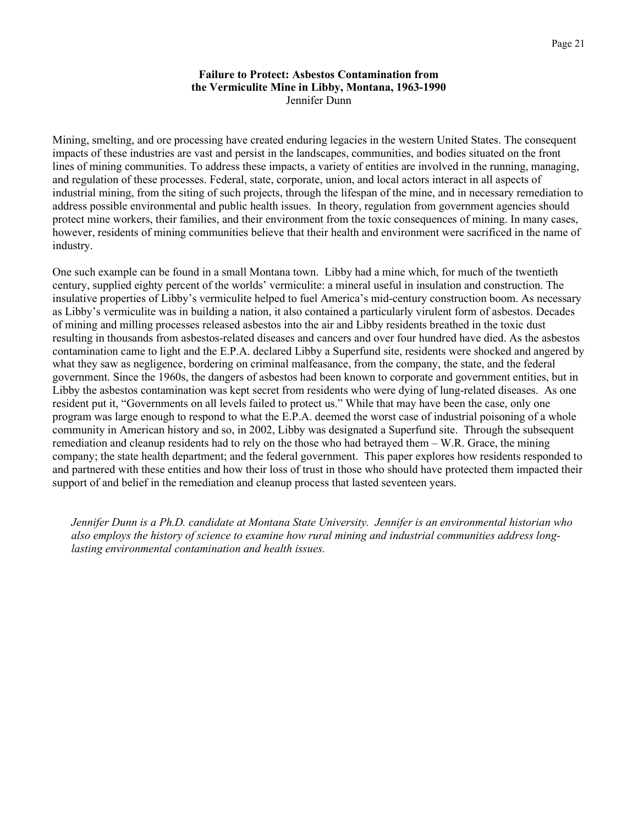## **Failure to Protect: Asbestos Contamination from the Vermiculite Mine in Libby, Montana, 1963-1990** Jennifer Dunn

Mining, smelting, and ore processing have created enduring legacies in the western United States. The consequent impacts of these industries are vast and persist in the landscapes, communities, and bodies situated on the front lines of mining communities. To address these impacts, a variety of entities are involved in the running, managing, and regulation of these processes. Federal, state, corporate, union, and local actors interact in all aspects of industrial mining, from the siting of such projects, through the lifespan of the mine, and in necessary remediation to address possible environmental and public health issues. In theory, regulation from government agencies should protect mine workers, their families, and their environment from the toxic consequences of mining. In many cases, however, residents of mining communities believe that their health and environment were sacrificed in the name of industry.

One such example can be found in a small Montana town. Libby had a mine which, for much of the twentieth century, supplied eighty percent of the worlds' vermiculite: a mineral useful in insulation and construction. The insulative properties of Libby's vermiculite helped to fuel America's mid-century construction boom. As necessary as Libby's vermiculite was in building a nation, it also contained a particularly virulent form of asbestos. Decades of mining and milling processes released asbestos into the air and Libby residents breathed in the toxic dust resulting in thousands from asbestos-related diseases and cancers and over four hundred have died. As the asbestos contamination came to light and the E.P.A. declared Libby a Superfund site, residents were shocked and angered by what they saw as negligence, bordering on criminal malfeasance, from the company, the state, and the federal government. Since the 1960s, the dangers of asbestos had been known to corporate and government entities, but in Libby the asbestos contamination was kept secret from residents who were dying of lung-related diseases. As one resident put it, "Governments on all levels failed to protect us." While that may have been the case, only one program was large enough to respond to what the E.P.A. deemed the worst case of industrial poisoning of a whole community in American history and so, in 2002, Libby was designated a Superfund site. Through the subsequent remediation and cleanup residents had to rely on the those who had betrayed them – W.R. Grace, the mining company; the state health department; and the federal government. This paper explores how residents responded to and partnered with these entities and how their loss of trust in those who should have protected them impacted their support of and belief in the remediation and cleanup process that lasted seventeen years.

*Jennifer Dunn is a Ph.D. candidate at Montana State University. Jennifer is an environmental historian who also employs the history of science to examine how rural mining and industrial communities address longlasting environmental contamination and health issues.*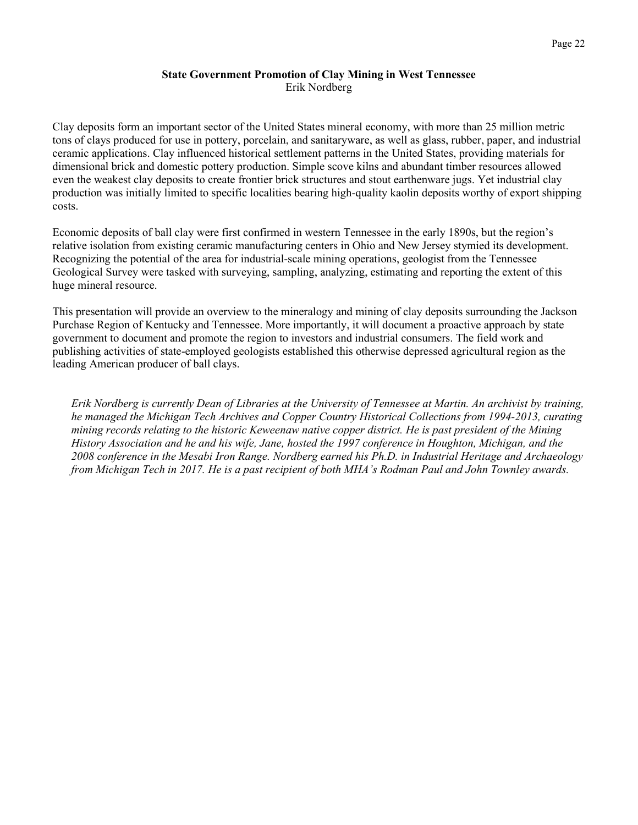# **State Government Promotion of Clay Mining in West Tennessee** Erik Nordberg

Clay deposits form an important sector of the United States mineral economy, with more than 25 million metric tons of clays produced for use in pottery, porcelain, and sanitaryware, as well as glass, rubber, paper, and industrial ceramic applications. Clay influenced historical settlement patterns in the United States, providing materials for dimensional brick and domestic pottery production. Simple scove kilns and abundant timber resources allowed even the weakest clay deposits to create frontier brick structures and stout earthenware jugs. Yet industrial clay production was initially limited to specific localities bearing high-quality kaolin deposits worthy of export shipping costs.

Economic deposits of ball clay were first confirmed in western Tennessee in the early 1890s, but the region's relative isolation from existing ceramic manufacturing centers in Ohio and New Jersey stymied its development. Recognizing the potential of the area for industrial-scale mining operations, geologist from the Tennessee Geological Survey were tasked with surveying, sampling, analyzing, estimating and reporting the extent of this huge mineral resource.

This presentation will provide an overview to the mineralogy and mining of clay deposits surrounding the Jackson Purchase Region of Kentucky and Tennessee. More importantly, it will document a proactive approach by state government to document and promote the region to investors and industrial consumers. The field work and publishing activities of state-employed geologists established this otherwise depressed agricultural region as the leading American producer of ball clays.

*Erik Nordberg is currently Dean of Libraries at the University of Tennessee at Martin. An archivist by training, he managed the Michigan Tech Archives and Copper Country Historical Collections from 1994-2013, curating mining records relating to the historic Keweenaw native copper district. He is past president of the Mining History Association and he and his wife, Jane, hosted the 1997 conference in Houghton, Michigan, and the 2008 conference in the Mesabi Iron Range. Nordberg earned his Ph.D. in Industrial Heritage and Archaeology from Michigan Tech in 2017. He is a past recipient of both MHA's Rodman Paul and John Townley awards.*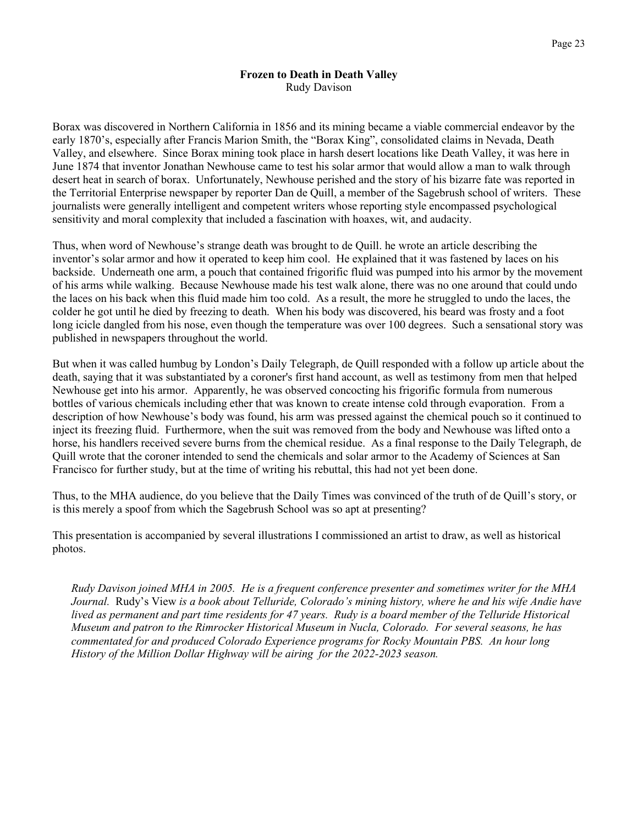# **Frozen to Death in Death Valley** Rudy Davison

Borax was discovered in Northern California in 1856 and its mining became a viable commercial endeavor by the early 1870's, especially after Francis Marion Smith, the "Borax King", consolidated claims in Nevada, Death Valley, and elsewhere. Since Borax mining took place in harsh desert locations like Death Valley, it was here in June 1874 that inventor Jonathan Newhouse came to test his solar armor that would allow a man to walk through desert heat in search of borax. Unfortunately, Newhouse perished and the story of his bizarre fate was reported in the Territorial Enterprise newspaper by reporter Dan de Quill, a member of the Sagebrush school of writers. These journalists were generally intelligent and competent writers whose reporting style encompassed psychological sensitivity and moral complexity that included a fascination with hoaxes, wit, and audacity.

Thus, when word of Newhouse's strange death was brought to de Quill. he wrote an article describing the inventor's solar armor and how it operated to keep him cool. He explained that it was fastened by laces on his backside. Underneath one arm, a pouch that contained frigorific fluid was pumped into his armor by the movement of his arms while walking. Because Newhouse made his test walk alone, there was no one around that could undo the laces on his back when this fluid made him too cold. As a result, the more he struggled to undo the laces, the colder he got until he died by freezing to death. When his body was discovered, his beard was frosty and a foot long icicle dangled from his nose, even though the temperature was over 100 degrees. Such a sensational story was published in newspapers throughout the world.

But when it was called humbug by London's Daily Telegraph, de Quill responded with a follow up article about the death, saying that it was substantiated by a coroner's first hand account, as well as testimony from men that helped Newhouse get into his armor. Apparently, he was observed concocting his frigorific formula from numerous bottles of various chemicals including ether that was known to create intense cold through evaporation. From a description of how Newhouse's body was found, his arm was pressed against the chemical pouch so it continued to inject its freezing fluid. Furthermore, when the suit was removed from the body and Newhouse was lifted onto a horse, his handlers received severe burns from the chemical residue. As a final response to the Daily Telegraph, de Quill wrote that the coroner intended to send the chemicals and solar armor to the Academy of Sciences at San Francisco for further study, but at the time of writing his rebuttal, this had not yet been done.

Thus, to the MHA audience, do you believe that the Daily Times was convinced of the truth of de Quill's story, or is this merely a spoof from which the Sagebrush School was so apt at presenting?

This presentation is accompanied by several illustrations I commissioned an artist to draw, as well as historical photos.

*Rudy Davison joined MHA in 2005. He is a frequent conference presenter and sometimes writer for the MHA Journal.* Rudy's View *is a book about Telluride, Colorado's mining history, where he and his wife Andie have lived as permanent and part time residents for 47 years. Rudy is a board member of the Telluride Historical Museum and patron to the Rimrocker Historical Museum in Nucla, Colorado. For several seasons, he has commentated for and produced Colorado Experience programs for Rocky Mountain PBS. An hour long History of the Million Dollar Highway will be airing for the 2022-2023 season.*